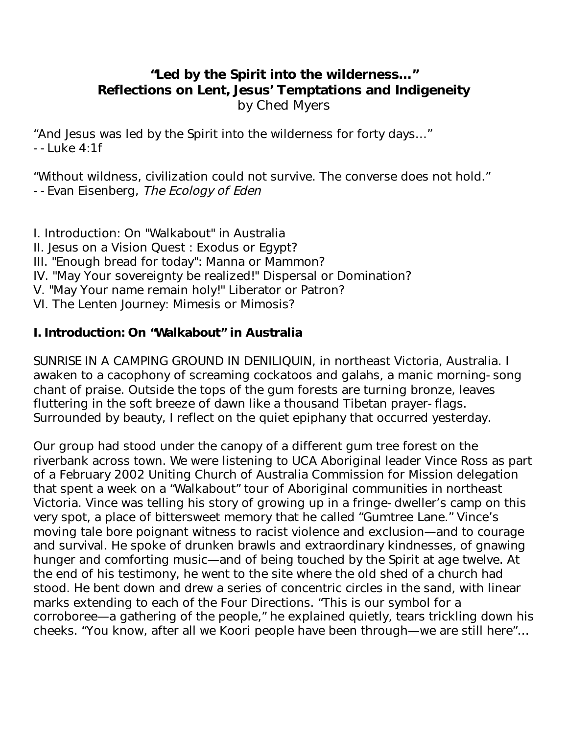# **"Led by the Spirit into the wilderness…" Reflections on Lent, Jesus' Temptations and Indigeneity**  by Ched Myers

"And Jesus was led by the Spirit into the wilderness for forty days…" --Luke 4:1f

"Without wildness, civilization could not survive. The converse does not hold." --Evan Eisenberg, The Ecology of Eden

I. Introduction: On "Walkabout" in Australia II. Jesus on a Vision Quest : Exodus or Egypt? III. "Enough bread for today": Manna or Mammon? IV. "May Your sovereignty be realized!" Dispersal or Domination? V. "May Your name remain holy!" Liberator or Patron? VI. The Lenten Journey: Mimesis or Mimosis?

### **I. Introduction: On "Walkabout" in Australia**

SUNRISE IN A CAMPING GROUND IN DENILIQUIN, in northeast Victoria, Australia. I awaken to a cacophony of screaming cockatoos and galahs, a manic morning-song chant of praise. Outside the tops of the gum forests are turning bronze, leaves fluttering in the soft breeze of dawn like a thousand Tibetan prayer-flags. Surrounded by beauty, I reflect on the quiet epiphany that occurred yesterday.

Our group had stood under the canopy of a different gum tree forest on the riverbank across town. We were listening to UCA Aboriginal leader Vince Ross as part of a February 2002 Uniting Church of Australia Commission for Mission delegation that spent a week on a "Walkabout" tour of Aboriginal communities in northeast Victoria. Vince was telling his story of growing up in a fringe-dweller's camp on this very spot, a place of bittersweet memory that he called "Gumtree Lane." Vince's moving tale bore poignant witness to racist violence and exclusion—and to courage and survival. He spoke of drunken brawls and extraordinary kindnesses, of gnawing hunger and comforting music—and of being touched by the Spirit at age twelve. At the end of his testimony, he went to the site where the old shed of a church had stood. He bent down and drew a series of concentric circles in the sand, with linear marks extending to each of the Four Directions. "This is our symbol for a corroboree—a gathering of the people," he explained quietly, tears trickling down his cheeks. "You know, after all we Koori people have been through—we are still here"…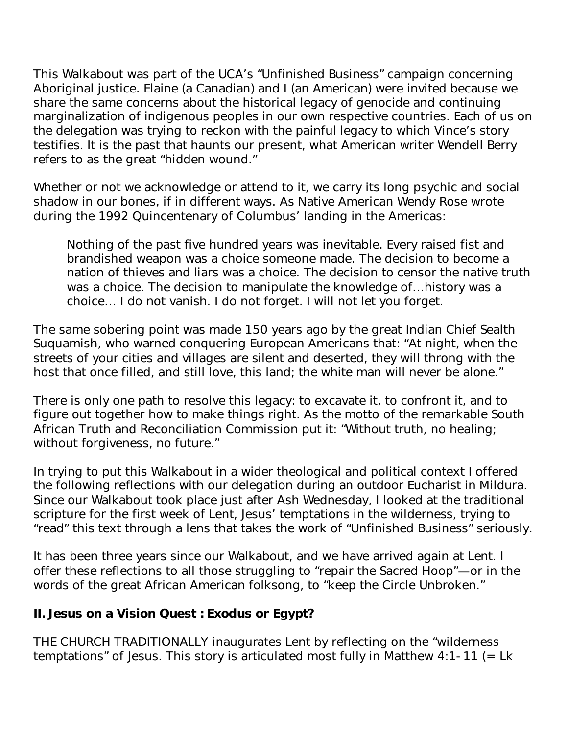This Walkabout was part of the UCA's "Unfinished Business" campaign concerning Aboriginal justice. Elaine (a Canadian) and I (an American) were invited because we share the same concerns about the historical legacy of genocide and continuing marginalization of indigenous peoples in our own respective countries. Each of us on the delegation was trying to reckon with the painful legacy to which Vince's story testifies. It is the past that haunts our present, what American writer Wendell Berry refers to as the great "hidden wound."

Whether or not we acknowledge or attend to it, we carry its long psychic and social shadow in our bones, if in different ways. As Native American Wendy Rose wrote during the 1992 Quincentenary of Columbus' landing in the Americas:

Nothing of the past five hundred years was inevitable. Every raised fist and brandished weapon was a choice someone made. The decision to become a nation of thieves and liars was a choice. The decision to censor the native truth was a choice. The decision to manipulate the knowledge of…history was a choice… I do not vanish. I do not forget. I will not let you forget.

The same sobering point was made 150 years ago by the great Indian Chief Sealth Suquamish, who warned conquering European Americans that: "At night, when the streets of your cities and villages are silent and deserted, they will throng with the host that once filled, and still love, this land; the white man will never be alone."

There is only one path to resolve this legacy: to excavate it, to confront it, and to figure out together how to make things right. As the motto of the remarkable South African Truth and Reconciliation Commission put it: "Without truth, no healing; without forgiveness, no future."

In trying to put this Walkabout in a wider theological and political context I offered the following reflections with our delegation during an outdoor Eucharist in Mildura. Since our Walkabout took place just after Ash Wednesday, I looked at the traditional scripture for the first week of Lent, Jesus' temptations in the wilderness, trying to "read" this text through a lens that takes the work of "Unfinished Business" seriously.

It has been three years since our Walkabout, and we have arrived again at Lent. I offer these reflections to all those struggling to "repair the Sacred Hoop"—or in the words of the great African American folksong, to "keep the Circle Unbroken."

#### **II. Jesus on a Vision Quest : Exodus or Egypt?**

THE CHURCH TRADITIONALLY inaugurates Lent by reflecting on the "wilderness temptations" of Jesus. This story is articulated most fully in Matthew 4:1-11 (= Lk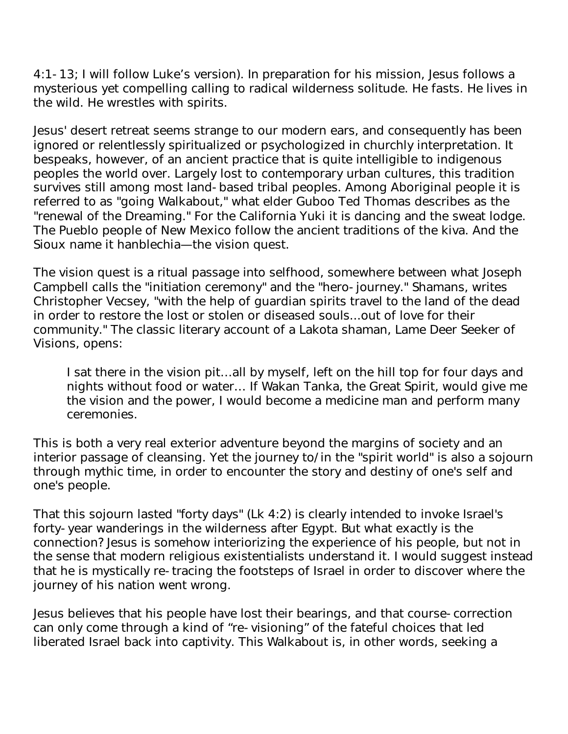4:1-13; I will follow Luke's version). In preparation for his mission, Jesus follows a mysterious yet compelling calling to radical wilderness solitude. He fasts. He lives in the wild. He wrestles with spirits.

Jesus' desert retreat seems strange to our modern ears, and consequently has been ignored or relentlessly spiritualized or psychologized in churchly interpretation. It bespeaks, however, of an ancient practice that is quite intelligible to indigenous peoples the world over. Largely lost to contemporary urban cultures, this tradition survives still among most land-based tribal peoples. Among Aboriginal people it is referred to as "going Walkabout," what elder Guboo Ted Thomas describes as the "renewal of the Dreaming." For the California Yuki it is dancing and the sweat lodge. The Pueblo people of New Mexico follow the ancient traditions of the kiva. And the Sioux name it hanblechia—the vision quest.

The vision quest is a ritual passage into selfhood, somewhere between what Joseph Campbell calls the "initiation ceremony" and the "hero-journey." Shamans, writes Christopher Vecsey, "with the help of guardian spirits travel to the land of the dead in order to restore the lost or stolen or diseased souls...out of love for their community." The classic literary account of a Lakota shaman, Lame Deer Seeker of Visions, opens:

I sat there in the vision pit…all by myself, left on the hill top for four days and nights without food or water… If Wakan Tanka, the Great Spirit, would give me the vision and the power, I would become a medicine man and perform many ceremonies.

This is both a very real exterior adventure beyond the margins of society and an interior passage of cleansing. Yet the journey to/in the "spirit world" is also a sojourn through mythic time, in order to encounter the story and destiny of one's self and one's people.

That this sojourn lasted "forty days" (Lk 4:2) is clearly intended to invoke Israel's forty-year wanderings in the wilderness after Egypt. But what exactly is the connection? Jesus is somehow interiorizing the experience of his people, but not in the sense that modern religious existentialists understand it. I would suggest instead that he is mystically re-tracing the footsteps of Israel in order to discover where the journey of his nation went wrong.

Jesus believes that his people have lost their bearings, and that course-correction can only come through a kind of "re-visioning" of the fateful choices that led liberated Israel back into captivity. This Walkabout is, in other words, seeking a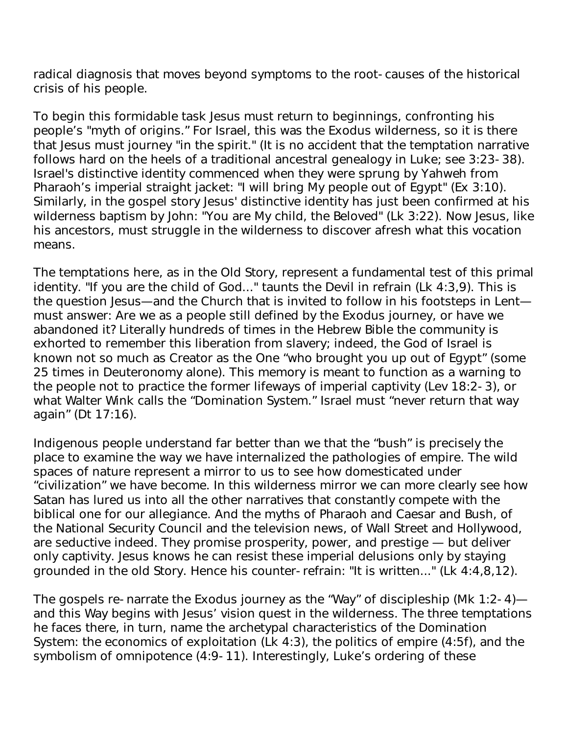radical diagnosis that moves beyond symptoms to the root-causes of the historical crisis of his people.

To begin this formidable task Jesus must return to beginnings, confronting his people's "myth of origins." For Israel, this was the Exodus wilderness, so it is there that Jesus must journey "in the spirit." (It is no accident that the temptation narrative follows hard on the heels of a traditional ancestral genealogy in Luke; see 3:23-38). Israel's distinctive identity commenced when they were sprung by Yahweh from Pharaoh's imperial straight jacket: "I will bring My people out of Egypt" (Ex 3:10). Similarly, in the gospel story Jesus' distinctive identity has just been confirmed at his wilderness baptism by John: "You are My child, the Beloved" (Lk 3:22). Now Jesus, like his ancestors, must struggle in the wilderness to discover afresh what this vocation means.

The temptations here, as in the Old Story, represent a fundamental test of this primal identity. "If you are the child of God..." taunts the Devil in refrain (Lk 4:3,9). This is the question Jesus—and the Church that is invited to follow in his footsteps in Lent must answer: Are we as a people still defined by the Exodus journey, or have we abandoned it? Literally hundreds of times in the Hebrew Bible the community is exhorted to remember this liberation from slavery; indeed, the God of Israel is known not so much as Creator as the One "who brought you up out of Egypt" (some 25 times in Deuteronomy alone). This memory is meant to function as a warning to the people not to practice the former lifeways of imperial captivity (Lev 18:2-3), or what Walter Wink calls the "Domination System." Israel must "never return that way again" (Dt 17:16).

Indigenous people understand far better than we that the "bush" is precisely the place to examine the way we have internalized the pathologies of empire. The wild spaces of nature represent a mirror to us to see how domesticated under "civilization" we have become. In this wilderness mirror we can more clearly see how Satan has lured us into all the other narratives that constantly compete with the biblical one for our allegiance. And the myths of Pharaoh and Caesar and Bush, of the National Security Council and the television news, of Wall Street and Hollywood, are seductive indeed. They promise prosperity, power, and prestige — but deliver only captivity. Jesus knows he can resist these imperial delusions only by staying grounded in the old Story. Hence his counter-refrain: "It is written..." (Lk 4:4,8,12).

The gospels re-narrate the Exodus journey as the "Way" of discipleship (Mk 1:2-4) and this Way begins with Jesus' vision quest in the wilderness. The three temptations he faces there, in turn, name the archetypal characteristics of the Domination System: the economics of exploitation (Lk 4:3), the politics of empire (4:5f), and the symbolism of omnipotence (4:9-11). Interestingly, Luke's ordering of these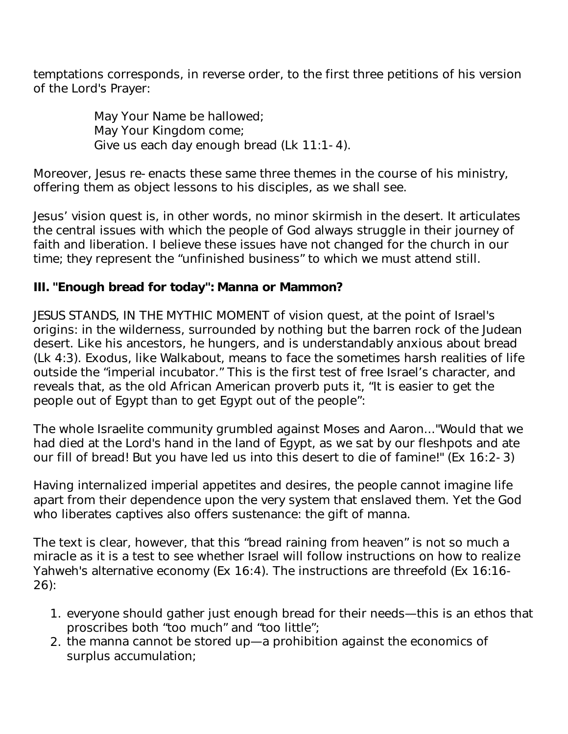temptations corresponds, in reverse order, to the first three petitions of his version of the Lord's Prayer:

> May Your Name be hallowed; May Your Kingdom come; Give us each day enough bread (Lk 11:1-4).

Moreover, Jesus re-enacts these same three themes in the course of his ministry, offering them as object lessons to his disciples, as we shall see.

Jesus' vision quest is, in other words, no minor skirmish in the desert. It articulates the central issues with which the people of God always struggle in their journey of faith and liberation. I believe these issues have not changed for the church in our time; they represent the "unfinished business" to which we must attend still.

### **III. "Enough bread for today": Manna or Mammon?**

JESUS STANDS, IN THE MYTHIC MOMENT of vision quest, at the point of Israel's origins: in the wilderness, surrounded by nothing but the barren rock of the Judean desert. Like his ancestors, he hungers, and is understandably anxious about bread (Lk 4:3). Exodus, like Walkabout, means to face the sometimes harsh realities of life outside the "imperial incubator." This is the first test of free Israel's character, and reveals that, as the old African American proverb puts it, "It is easier to get the people out of Egypt than to get Egypt out of the people":

The whole Israelite community grumbled against Moses and Aaron..."Would that we had died at the Lord's hand in the land of Egypt, as we sat by our fleshpots and ate our fill of bread! But you have led us into this desert to die of famine!" (Ex 16:2-3)

Having internalized imperial appetites and desires, the people cannot imagine life apart from their dependence upon the very system that enslaved them. Yet the God who liberates captives also offers sustenance: the gift of manna.

The text is clear, however, that this "bread raining from heaven" is not so much a miracle as it is a test to see whether Israel will follow instructions on how to realize Yahweh's alternative economy (Ex 16:4). The instructions are threefold (Ex 16:16- 26):

- 1. everyone should gather just enough bread for their needs—this is an ethos that proscribes both "too much" and "too little";
- 2. the manna cannot be stored up—a prohibition against the economics of surplus accumulation;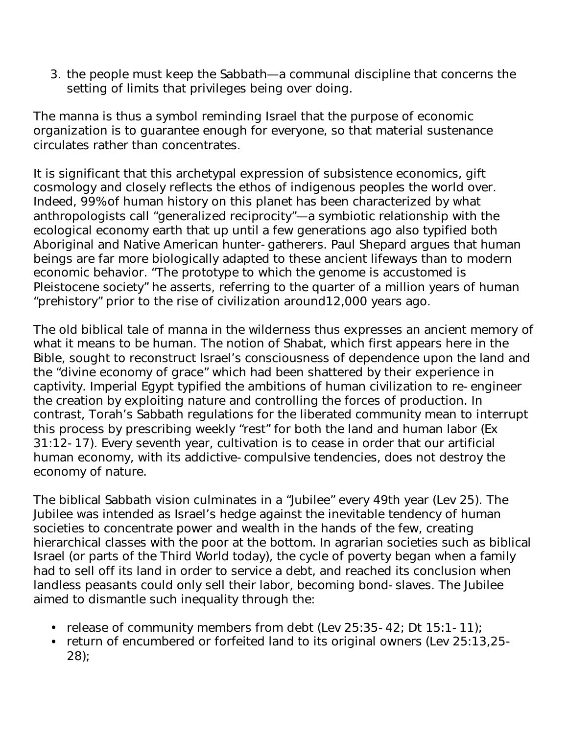3. the people must keep the Sabbath—a communal discipline that concerns the setting of limits that privileges being over doing.

The manna is thus a symbol reminding Israel that the purpose of economic organization is to guarantee enough for everyone, so that material sustenance circulates rather than concentrates.

It is significant that this archetypal expression of subsistence economics, gift cosmology and closely reflects the ethos of indigenous peoples the world over. Indeed, 99% of human history on this planet has been characterized by what anthropologists call "generalized reciprocity"—a symbiotic relationship with the ecological economy earth that up until a few generations ago also typified both Aboriginal and Native American hunter-gatherers. Paul Shepard argues that human beings are far more biologically adapted to these ancient lifeways than to modern economic behavior. "The prototype to which the genome is accustomed is Pleistocene society" he asserts, referring to the quarter of a million years of human "prehistory" prior to the rise of civilization around12,000 years ago.

The old biblical tale of manna in the wilderness thus expresses an ancient memory of what it means to be human. The notion of Shabat, which first appears here in the Bible, sought to reconstruct Israel's consciousness of dependence upon the land and the "divine economy of grace" which had been shattered by their experience in captivity. Imperial Egypt typified the ambitions of human civilization to re-engineer the creation by exploiting nature and controlling the forces of production. In contrast, Torah's Sabbath regulations for the liberated community mean to interrupt this process by prescribing weekly "rest" for both the land and human labor (Ex 31:12-17). Every seventh year, cultivation is to cease in order that our artificial human economy, with its addictive-compulsive tendencies, does not destroy the economy of nature.

The biblical Sabbath vision culminates in a "Jubilee" every 49th year (Lev 25). The Jubilee was intended as Israel's hedge against the inevitable tendency of human societies to concentrate power and wealth in the hands of the few, creating hierarchical classes with the poor at the bottom. In agrarian societies such as biblical Israel (or parts of the Third World today), the cycle of poverty began when a family had to sell off its land in order to service a debt, and reached its conclusion when landless peasants could only sell their labor, becoming bond-slaves. The Jubilee aimed to dismantle such inequality through the:

- release of community members from debt (Lev 25:35-42; Dt 15:1-11);
- return of encumbered or forfeited land to its original owners (Lev 25:13,25- 28);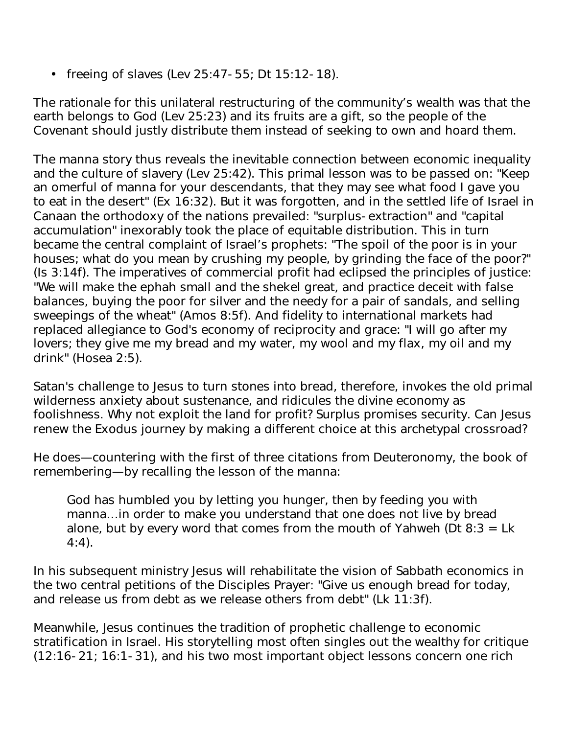• freeing of slaves (Lev 25:47-55; Dt 15:12-18).

The rationale for this unilateral restructuring of the community's wealth was that the earth belongs to God (Lev 25:23) and its fruits are a gift, so the people of the Covenant should justly distribute them instead of seeking to own and hoard them.

The manna story thus reveals the inevitable connection between economic inequality and the culture of slavery (Lev 25:42). This primal lesson was to be passed on: "Keep an omerful of manna for your descendants, that they may see what food I gave you to eat in the desert" (Ex 16:32). But it was forgotten, and in the settled life of Israel in Canaan the orthodoxy of the nations prevailed: "surplus-extraction" and "capital accumulation" inexorably took the place of equitable distribution. This in turn became the central complaint of Israel's prophets: "The spoil of the poor is in your houses; what do you mean by crushing my people, by grinding the face of the poor?" (Is 3:14f). The imperatives of commercial profit had eclipsed the principles of justice: "We will make the ephah small and the shekel great, and practice deceit with false balances, buying the poor for silver and the needy for a pair of sandals, and selling sweepings of the wheat" (Amos 8:5f). And fidelity to international markets had replaced allegiance to God's economy of reciprocity and grace: "I will go after my lovers; they give me my bread and my water, my wool and my flax, my oil and my drink" (Hosea 2:5).

Satan's challenge to Jesus to turn stones into bread, therefore, invokes the old primal wilderness anxiety about sustenance, and ridicules the divine economy as foolishness. Why not exploit the land for profit? Surplus promises security. Can Jesus renew the Exodus journey by making a different choice at this archetypal crossroad?

He does—countering with the first of three citations from Deuteronomy, the book of remembering—by recalling the lesson of the manna:

God has humbled you by letting you hunger, then by feeding you with manna…in order to make you understand that one does not live by bread alone, but by every word that comes from the mouth of Yahweh (Dt  $8:3 = Lk$ ) 4:4).

In his subsequent ministry Jesus will rehabilitate the vision of Sabbath economics in the two central petitions of the Disciples Prayer: "Give us enough bread for today, and release us from debt as we release others from debt" (Lk 11:3f).

Meanwhile, Jesus continues the tradition of prophetic challenge to economic stratification in Israel. His storytelling most often singles out the wealthy for critique (12:16-21; 16:1-31), and his two most important object lessons concern one rich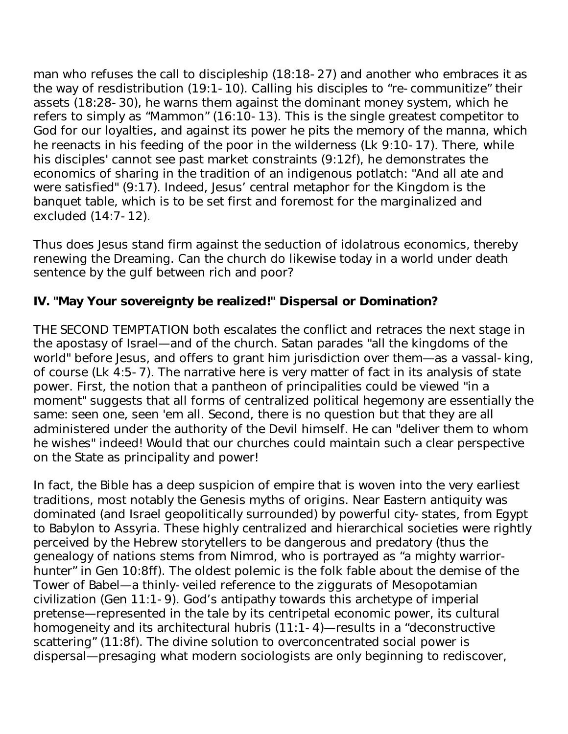man who refuses the call to discipleship (18:18-27) and another who embraces it as the way of resdistribution (19:1-10). Calling his disciples to "re-communitize" their assets (18:28-30), he warns them against the dominant money system, which he refers to simply as "Mammon" (16:10-13). This is the single greatest competitor to God for our loyalties, and against its power he pits the memory of the manna, which he reenacts in his feeding of the poor in the wilderness (Lk 9:10-17). There, while his disciples' cannot see past market constraints (9:12f), he demonstrates the economics of sharing in the tradition of an indigenous potlatch: "And all ate and were satisfied" (9:17). Indeed, Jesus' central metaphor for the Kingdom is the banquet table, which is to be set first and foremost for the marginalized and excluded (14:7-12).

Thus does Jesus stand firm against the seduction of idolatrous economics, thereby renewing the Dreaming. Can the church do likewise today in a world under death sentence by the gulf between rich and poor?

# **IV. "May Your sovereignty be realized!" Dispersal or Domination?**

THE SECOND TEMPTATION both escalates the conflict and retraces the next stage in the apostasy of Israel—and of the church. Satan parades "all the kingdoms of the world" before Jesus, and offers to grant him jurisdiction over them—as a vassal-king, of course (Lk 4:5-7). The narrative here is very matter of fact in its analysis of state power. First, the notion that a pantheon of principalities could be viewed "in a moment" suggests that all forms of centralized political hegemony are essentially the same: seen one, seen 'em all. Second, there is no question but that they are all administered under the authority of the Devil himself. He can "deliver them to whom he wishes" indeed! Would that our churches could maintain such a clear perspective on the State as principality and power!

In fact, the Bible has a deep suspicion of empire that is woven into the very earliest traditions, most notably the Genesis myths of origins. Near Eastern antiquity was dominated (and Israel geopolitically surrounded) by powerful city-states, from Egypt to Babylon to Assyria. These highly centralized and hierarchical societies were rightly perceived by the Hebrew storytellers to be dangerous and predatory (thus the genealogy of nations stems from Nimrod, who is portrayed as "a mighty warriorhunter" in Gen 10:8ff). The oldest polemic is the folk fable about the demise of the Tower of Babel—a thinly-veiled reference to the ziggurats of Mesopotamian civilization (Gen 11:1-9). God's antipathy towards this archetype of imperial pretense—represented in the tale by its centripetal economic power, its cultural homogeneity and its architectural hubris (11:1-4)—results in a "deconstructive scattering" (11:8f). The divine solution to overconcentrated social power is dispersal—presaging what modern sociologists are only beginning to rediscover,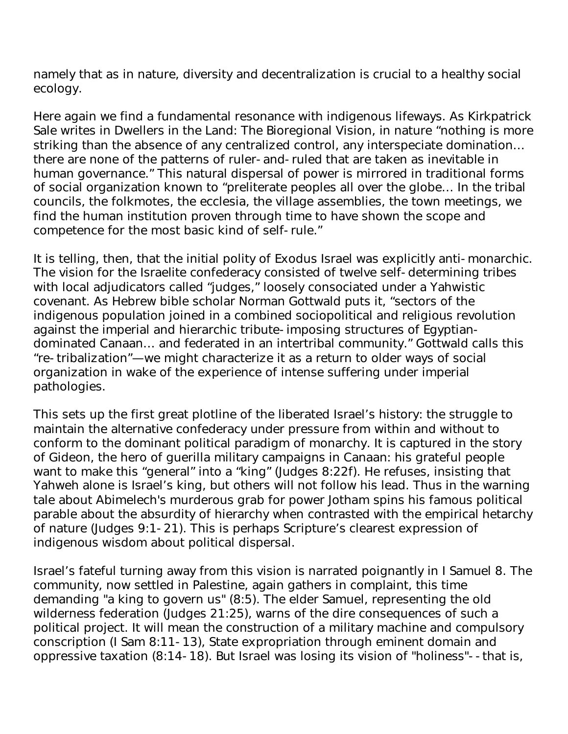namely that as in nature, diversity and decentralization is crucial to a healthy social ecology.

Here again we find a fundamental resonance with indigenous lifeways. As Kirkpatrick Sale writes in Dwellers in the Land: The Bioregional Vision, in nature "nothing is more striking than the absence of any centralized control, any interspeciate domination… there are none of the patterns of ruler-and-ruled that are taken as inevitable in human governance." This natural dispersal of power is mirrored in traditional forms of social organization known to "preliterate peoples all over the globe… In the tribal councils, the folkmotes, the ecclesia, the village assemblies, the town meetings, we find the human institution proven through time to have shown the scope and competence for the most basic kind of self-rule."

It is telling, then, that the initial polity of Exodus Israel was explicitly anti-monarchic. The vision for the Israelite confederacy consisted of twelve self-determining tribes with local adjudicators called "judges," loosely consociated under a Yahwistic covenant. As Hebrew bible scholar Norman Gottwald puts it, "sectors of the indigenous population joined in a combined sociopolitical and religious revolution against the imperial and hierarchic tribute-imposing structures of Egyptiandominated Canaan… and federated in an intertribal community." Gottwald calls this "re-tribalization"—we might characterize it as a return to older ways of social organization in wake of the experience of intense suffering under imperial pathologies.

This sets up the first great plotline of the liberated Israel's history: the struggle to maintain the alternative confederacy under pressure from within and without to conform to the dominant political paradigm of monarchy. It is captured in the story of Gideon, the hero of guerilla military campaigns in Canaan: his grateful people want to make this "general" into a "king" (Judges 8:22f). He refuses, insisting that Yahweh alone is Israel's king, but others will not follow his lead. Thus in the warning tale about Abimelech's murderous grab for power Jotham spins his famous political parable about the absurdity of hierarchy when contrasted with the empirical hetarchy of nature (Judges 9:1-21). This is perhaps Scripture's clearest expression of indigenous wisdom about political dispersal.

Israel's fateful turning away from this vision is narrated poignantly in I Samuel 8. The community, now settled in Palestine, again gathers in complaint, this time demanding "a king to govern us" (8:5). The elder Samuel, representing the old wilderness federation (Judges 21:25), warns of the dire consequences of such a political project. It will mean the construction of a military machine and compulsory conscription (I Sam 8:11-13), State expropriation through eminent domain and oppressive taxation (8:14-18). But Israel was losing its vision of "holiness"--that is,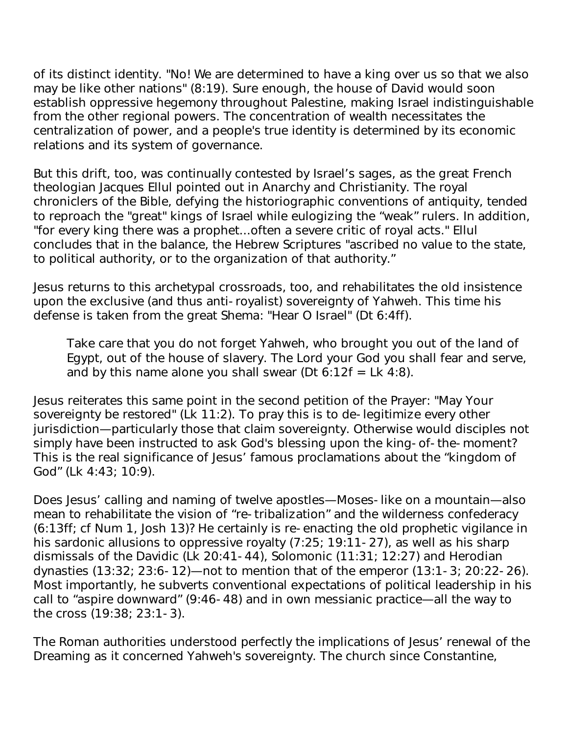of its distinct identity. "No! We are determined to have a king over us so that we also may be like other nations" (8:19). Sure enough, the house of David would soon establish oppressive hegemony throughout Palestine, making Israel indistinguishable from the other regional powers. The concentration of wealth necessitates the centralization of power, and a people's true identity is determined by its economic relations and its system of governance.

But this drift, too, was continually contested by Israel's sages, as the great French theologian Jacques Ellul pointed out in Anarchy and Christianity. The royal chroniclers of the Bible, defying the historiographic conventions of antiquity, tended to reproach the "great" kings of Israel while eulogizing the "weak" rulers. In addition, "for every king there was a prophet...often a severe critic of royal acts." Ellul concludes that in the balance, the Hebrew Scriptures "ascribed no value to the state, to political authority, or to the organization of that authority."

Jesus returns to this archetypal crossroads, too, and rehabilitates the old insistence upon the exclusive (and thus anti-royalist) sovereignty of Yahweh. This time his defense is taken from the great Shema: "Hear O Israel" (Dt 6:4ff).

Take care that you do not forget Yahweh, who brought you out of the land of Egypt, out of the house of slavery. The Lord your God you shall fear and serve, and by this name alone you shall swear (Dt  $6:12f = Lk$  4:8).

Jesus reiterates this same point in the second petition of the Prayer: "May Your sovereignty be restored" (Lk 11:2). To pray this is to de-legitimize every other jurisdiction—particularly those that claim sovereignty. Otherwise would disciples not simply have been instructed to ask God's blessing upon the king-of-the-moment? This is the real significance of Jesus' famous proclamations about the "kingdom of God" (Lk 4:43; 10:9).

Does Jesus' calling and naming of twelve apostles—Moses-like on a mountain—also mean to rehabilitate the vision of "re-tribalization" and the wilderness confederacy (6:13ff; cf Num 1, Josh 13)? He certainly is re-enacting the old prophetic vigilance in his sardonic allusions to oppressive royalty (7:25; 19:11-27), as well as his sharp dismissals of the Davidic (Lk 20:41-44), Solomonic (11:31; 12:27) and Herodian dynasties (13:32; 23:6-12)—not to mention that of the emperor (13:1-3; 20:22-26). Most importantly, he subverts conventional expectations of political leadership in his call to "aspire downward" (9:46-48) and in own messianic practice—all the way to the cross (19:38; 23:1-3).

The Roman authorities understood perfectly the implications of Jesus' renewal of the Dreaming as it concerned Yahweh's sovereignty. The church since Constantine,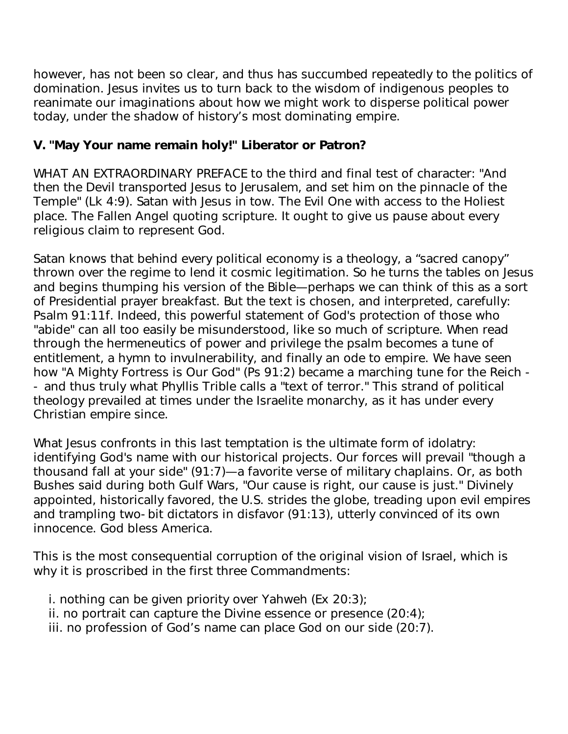however, has not been so clear, and thus has succumbed repeatedly to the politics of domination. Jesus invites us to turn back to the wisdom of indigenous peoples to reanimate our imaginations about how we might work to disperse political power today, under the shadow of history's most dominating empire.

## **V. "May Your name remain holy!" Liberator or Patron?**

WHAT AN EXTRAORDINARY PREFACE to the third and final test of character: "And then the Devil transported Jesus to Jerusalem, and set him on the pinnacle of the Temple" (Lk 4:9). Satan with Jesus in tow. The Evil One with access to the Holiest place. The Fallen Angel quoting scripture. It ought to give us pause about every religious claim to represent God.

Satan knows that behind every political economy is a theology, a "sacred canopy" thrown over the regime to lend it cosmic legitimation. So he turns the tables on Jesus and begins thumping his version of the Bible—perhaps we can think of this as a sort of Presidential prayer breakfast. But the text is chosen, and interpreted, carefully: Psalm 91:11f. Indeed, this powerful statement of God's protection of those who "abide" can all too easily be misunderstood, like so much of scripture. When read through the hermeneutics of power and privilege the psalm becomes a tune of entitlement, a hymn to invulnerability, and finally an ode to empire. We have seen how "A Mighty Fortress is Our God" (Ps 91:2) became a marching tune for the Reich - - and thus truly what Phyllis Trible calls a "text of terror." This strand of political theology prevailed at times under the Israelite monarchy, as it has under every Christian empire since.

What Jesus confronts in this last temptation is the ultimate form of idolatry: identifying God's name with our historical projects. Our forces will prevail "though a thousand fall at your side" (91:7)—a favorite verse of military chaplains. Or, as both Bushes said during both Gulf Wars, "Our cause is right, our cause is just." Divinely appointed, historically favored, the U.S. strides the globe, treading upon evil empires and trampling two-bit dictators in disfavor (91:13), utterly convinced of its own innocence. God bless America.

This is the most consequential corruption of the original vision of Israel, which is why it is proscribed in the first three Commandments:

- i. nothing can be given priority over Yahweh (Ex 20:3);
- ii. no portrait can capture the Divine essence or presence (20:4);
- iii. no profession of God's name can place God on our side (20:7).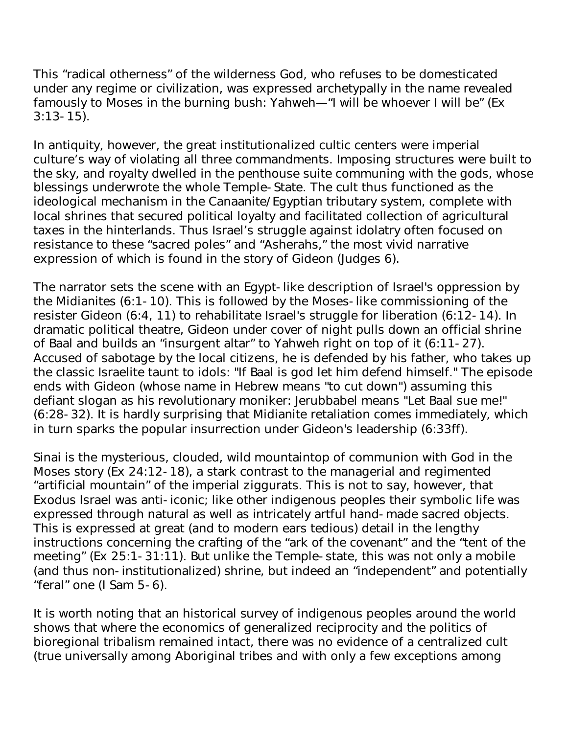This "radical otherness" of the wilderness God, who refuses to be domesticated under any regime or civilization, was expressed archetypally in the name revealed famously to Moses in the burning bush: Yahweh—"I will be whoever I will be" (Ex  $3:13-15$ ).

In antiquity, however, the great institutionalized cultic centers were imperial culture's way of violating all three commandments. Imposing structures were built to the sky, and royalty dwelled in the penthouse suite communing with the gods, whose blessings underwrote the whole Temple-State. The cult thus functioned as the ideological mechanism in the Canaanite/Egyptian tributary system, complete with local shrines that secured political loyalty and facilitated collection of agricultural taxes in the hinterlands. Thus Israel's struggle against idolatry often focused on resistance to these "sacred poles" and "Asherahs," the most vivid narrative expression of which is found in the story of Gideon (Judges 6).

The narrator sets the scene with an Egypt-like description of Israel's oppression by the Midianites (6:1-10). This is followed by the Moses-like commissioning of the resister Gideon (6:4, 11) to rehabilitate Israel's struggle for liberation (6:12-14). In dramatic political theatre, Gideon under cover of night pulls down an official shrine of Baal and builds an "insurgent altar" to Yahweh right on top of it (6:11-27). Accused of sabotage by the local citizens, he is defended by his father, who takes up the classic Israelite taunt to idols: "If Baal is god let him defend himself." The episode ends with Gideon (whose name in Hebrew means "to cut down") assuming this defiant slogan as his revolutionary moniker: Jerubbabel means "Let Baal sue me!" (6:28-32). It is hardly surprising that Midianite retaliation comes immediately, which in turn sparks the popular insurrection under Gideon's leadership (6:33ff).

Sinai is the mysterious, clouded, wild mountaintop of communion with God in the Moses story (Ex 24:12-18), a stark contrast to the managerial and regimented "artificial mountain" of the imperial ziggurats. This is not to say, however, that Exodus Israel was anti-iconic; like other indigenous peoples their symbolic life was expressed through natural as well as intricately artful hand-made sacred objects. This is expressed at great (and to modern ears tedious) detail in the lengthy instructions concerning the crafting of the "ark of the covenant" and the "tent of the meeting" (Ex 25:1-31:11). But unlike the Temple-state, this was not only a mobile (and thus non-institutionalized) shrine, but indeed an "independent" and potentially "feral" one (I Sam 5-6).

It is worth noting that an historical survey of indigenous peoples around the world shows that where the economics of generalized reciprocity and the politics of bioregional tribalism remained intact, there was no evidence of a centralized cult (true universally among Aboriginal tribes and with only a few exceptions among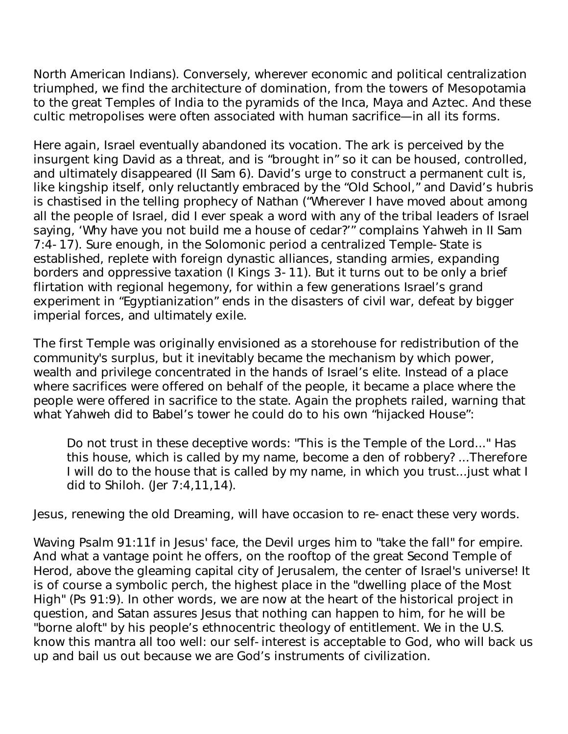North American Indians). Conversely, wherever economic and political centralization triumphed, we find the architecture of domination, from the towers of Mesopotamia to the great Temples of India to the pyramids of the Inca, Maya and Aztec. And these cultic metropolises were often associated with human sacrifice—in all its forms.

Here again, Israel eventually abandoned its vocation. The ark is perceived by the insurgent king David as a threat, and is "brought in" so it can be housed, controlled, and ultimately disappeared (II Sam 6). David's urge to construct a permanent cult is, like kingship itself, only reluctantly embraced by the "Old School," and David's hubris is chastised in the telling prophecy of Nathan ("Wherever I have moved about among all the people of Israel, did I ever speak a word with any of the tribal leaders of Israel saying, 'Why have you not build me a house of cedar?'" complains Yahweh in II Sam 7:4-17). Sure enough, in the Solomonic period a centralized Temple-State is established, replete with foreign dynastic alliances, standing armies, expanding borders and oppressive taxation (I Kings 3-11). But it turns out to be only a brief flirtation with regional hegemony, for within a few generations Israel's grand experiment in "Egyptianization" ends in the disasters of civil war, defeat by bigger imperial forces, and ultimately exile.

The first Temple was originally envisioned as a storehouse for redistribution of the community's surplus, but it inevitably became the mechanism by which power, wealth and privilege concentrated in the hands of Israel's elite. Instead of a place where sacrifices were offered on behalf of the people, it became a place where the people were offered in sacrifice to the state. Again the prophets railed, warning that what Yahweh did to Babel's tower he could do to his own "hijacked House":

Do not trust in these deceptive words: "This is the Temple of the Lord..." Has this house, which is called by my name, become a den of robbery? ...Therefore I will do to the house that is called by my name, in which you trust...just what I did to Shiloh. (Jer 7:4,11,14).

Jesus, renewing the old Dreaming, will have occasion to re-enact these very words.

Waving Psalm 91:11f in Jesus' face, the Devil urges him to "take the fall" for empire. And what a vantage point he offers, on the rooftop of the great Second Temple of Herod, above the gleaming capital city of Jerusalem, the center of Israel's universe! It is of course a symbolic perch, the highest place in the "dwelling place of the Most High" (Ps 91:9). In other words, we are now at the heart of the historical project in question, and Satan assures Jesus that nothing can happen to him, for he will be "borne aloft" by his people's ethnocentric theology of entitlement. We in the U.S. know this mantra all too well: our self-interest is acceptable to God, who will back us up and bail us out because we are God's instruments of civilization.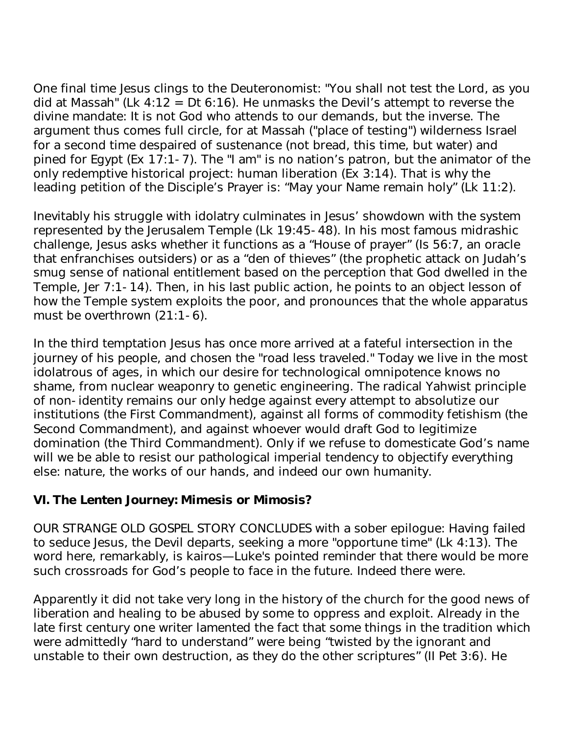One final time Jesus clings to the Deuteronomist: "You shall not test the Lord, as you did at Massah" (Lk  $4:12 = Dt 6:16$ ). He unmasks the Devil's attempt to reverse the divine mandate: It is not God who attends to our demands, but the inverse. The argument thus comes full circle, for at Massah ("place of testing") wilderness Israel for a second time despaired of sustenance (not bread, this time, but water) and pined for Egypt (Ex 17:1-7). The "I am" is no nation's patron, but the animator of the only redemptive historical project: human liberation (Ex 3:14). That is why the leading petition of the Disciple's Prayer is: "May your Name remain holy" (Lk 11:2).

Inevitably his struggle with idolatry culminates in Jesus' showdown with the system represented by the Jerusalem Temple (Lk 19:45-48). In his most famous midrashic challenge, Jesus asks whether it functions as a "House of prayer" (Is 56:7, an oracle that enfranchises outsiders) or as a "den of thieves" (the prophetic attack on Judah's smug sense of national entitlement based on the perception that God dwelled in the Temple, Jer 7:1-14). Then, in his last public action, he points to an object lesson of how the Temple system exploits the poor, and pronounces that the whole apparatus must be overthrown (21:1-6).

In the third temptation Jesus has once more arrived at a fateful intersection in the journey of his people, and chosen the "road less traveled." Today we live in the most idolatrous of ages, in which our desire for technological omnipotence knows no shame, from nuclear weaponry to genetic engineering. The radical Yahwist principle of non-identity remains our only hedge against every attempt to absolutize our institutions (the First Commandment), against all forms of commodity fetishism (the Second Commandment), and against whoever would draft God to legitimize domination (the Third Commandment). Only if we refuse to domesticate God's name will we be able to resist our pathological imperial tendency to objectify everything else: nature, the works of our hands, and indeed our own humanity.

#### **VI. The Lenten Journey: Mimesis or Mimosis?**

OUR STRANGE OLD GOSPEL STORY CONCLUDES with a sober epilogue: Having failed to seduce Jesus, the Devil departs, seeking a more "opportune time" (Lk 4:13). The word here, remarkably, is kairos—Luke's pointed reminder that there would be more such crossroads for God's people to face in the future. Indeed there were.

Apparently it did not take very long in the history of the church for the good news of liberation and healing to be abused by some to oppress and exploit. Already in the late first century one writer lamented the fact that some things in the tradition which were admittedly "hard to understand" were being "twisted by the ignorant and unstable to their own destruction, as they do the other scriptures" (II Pet 3:6). He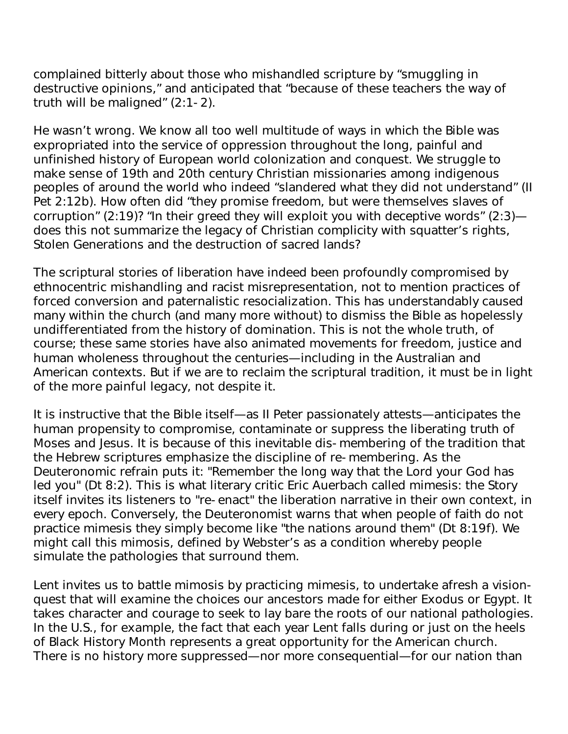complained bitterly about those who mishandled scripture by "smuggling in destructive opinions," and anticipated that "because of these teachers the way of truth will be maligned" (2:1-2).

He wasn't wrong. We know all too well multitude of ways in which the Bible was expropriated into the service of oppression throughout the long, painful and unfinished history of European world colonization and conquest. We struggle to make sense of 19th and 20th century Christian missionaries among indigenous peoples of around the world who indeed "slandered what they did not understand" (II Pet 2:12b). How often did "they promise freedom, but were themselves slaves of corruption" (2:19)? "In their greed they will exploit you with deceptive words" (2:3) does this not summarize the legacy of Christian complicity with squatter's rights, Stolen Generations and the destruction of sacred lands?

The scriptural stories of liberation have indeed been profoundly compromised by ethnocentric mishandling and racist misrepresentation, not to mention practices of forced conversion and paternalistic resocialization. This has understandably caused many within the church (and many more without) to dismiss the Bible as hopelessly undifferentiated from the history of domination. This is not the whole truth, of course; these same stories have also animated movements for freedom, justice and human wholeness throughout the centuries—including in the Australian and American contexts. But if we are to reclaim the scriptural tradition, it must be in light of the more painful legacy, not despite it.

It is instructive that the Bible itself—as II Peter passionately attests—anticipates the human propensity to compromise, contaminate or suppress the liberating truth of Moses and Jesus. It is because of this inevitable dis-membering of the tradition that the Hebrew scriptures emphasize the discipline of re-membering. As the Deuteronomic refrain puts it: "Remember the long way that the Lord your God has led you" (Dt 8:2). This is what literary critic Eric Auerbach called mimesis: the Story itself invites its listeners to "re-enact" the liberation narrative in their own context, in every epoch. Conversely, the Deuteronomist warns that when people of faith do not practice mimesis they simply become like "the nations around them" (Dt 8:19f). We might call this mimosis, defined by Webster's as a condition whereby people simulate the pathologies that surround them.

Lent invites us to battle mimosis by practicing mimesis, to undertake afresh a visionquest that will examine the choices our ancestors made for either Exodus or Egypt. It takes character and courage to seek to lay bare the roots of our national pathologies. In the U.S., for example, the fact that each year Lent falls during or just on the heels of Black History Month represents a great opportunity for the American church. There is no history more suppressed—nor more consequential—for our nation than